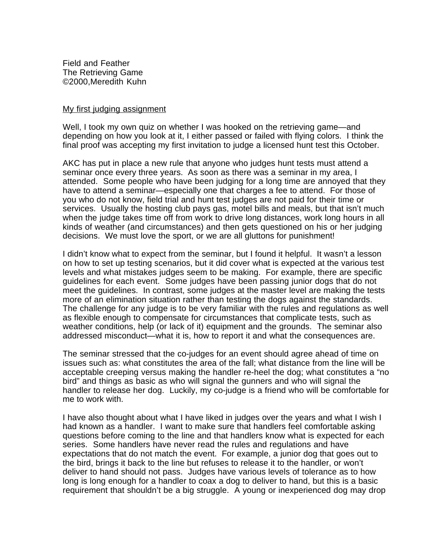Field and Feather The Retrieving Game ©2000,Meredith Kuhn

## My first judging assignment

Well, I took my own quiz on whether I was hooked on the retrieving game—and depending on how you look at it, I either passed or failed with flying colors. I think the final proof was accepting my first invitation to judge a licensed hunt test this October.

AKC has put in place a new rule that anyone who judges hunt tests must attend a seminar once every three years. As soon as there was a seminar in my area, I attended. Some people who have been judging for a long time are annoyed that they have to attend a seminar—especially one that charges a fee to attend. For those of you who do not know, field trial and hunt test judges are not paid for their time or services. Usually the hosting club pays gas, motel bills and meals, but that isn't much when the judge takes time off from work to drive long distances, work long hours in all kinds of weather (and circumstances) and then gets questioned on his or her judging decisions. We must love the sport, or we are all gluttons for punishment!

I didn't know what to expect from the seminar, but I found it helpful. It wasn't a lesson on how to set up testing scenarios, but it did cover what is expected at the various test levels and what mistakes judges seem to be making. For example, there are specific guidelines for each event. Some judges have been passing junior dogs that do not meet the guidelines. In contrast, some judges at the master level are making the tests more of an elimination situation rather than testing the dogs against the standards. The challenge for any judge is to be very familiar with the rules and regulations as well as flexible enough to compensate for circumstances that complicate tests, such as weather conditions, help (or lack of it) equipment and the grounds. The seminar also addressed misconduct—what it is, how to report it and what the consequences are.

The seminar stressed that the co-judges for an event should agree ahead of time on issues such as: what constitutes the area of the fall; what distance from the line will be acceptable creeping versus making the handler re-heel the dog; what constitutes a "no bird" and things as basic as who will signal the gunners and who will signal the handler to release her dog. Luckily, my co-judge is a friend who will be comfortable for me to work with.

I have also thought about what I have liked in judges over the years and what I wish I had known as a handler. I want to make sure that handlers feel comfortable asking questions before coming to the line and that handlers know what is expected for each series. Some handlers have never read the rules and regulations and have expectations that do not match the event. For example, a junior dog that goes out to the bird, brings it back to the line but refuses to release it to the handler, or won't deliver to hand should not pass. Judges have various levels of tolerance as to how long is long enough for a handler to coax a dog to deliver to hand, but this is a basic requirement that shouldn't be a big struggle. A young or inexperienced dog may drop